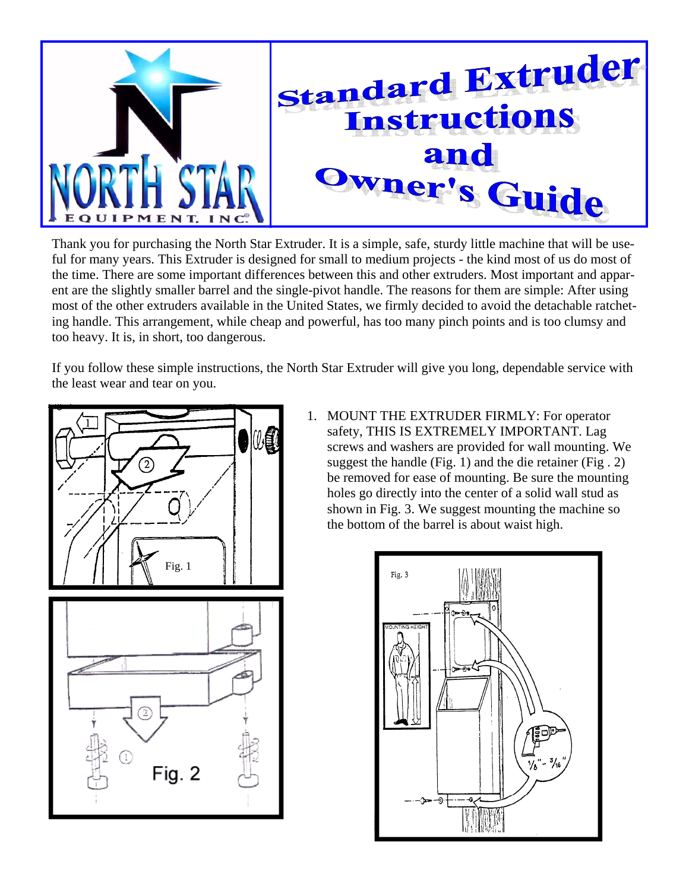

Thank you for purchasing the North Star Extruder. It is a simple, safe, sturdy little machine that will be useful for many years. This Extruder is designed for small to medium projects - the kind most of us do most of the time. There are some important differences between this and other extruders. Most important and apparent are the slightly smaller barrel and the single-pivot handle. The reasons for them are simple: After using most of the other extruders available in the United States, we firmly decided to avoid the detachable ratcheting handle. This arrangement, while cheap and powerful, has too many pinch points and is too clumsy and too heavy. It is, in short, too dangerous.

If you follow these simple instructions, the North Star Extruder will give you long, dependable service with the least wear and tear on you.





1. MOUNT THE EXTRUDER FIRMLY: For operator safety, THIS IS EXTREMELY IMPORTANT. Lag screws and washers are provided for wall mounting. We suggest the handle (Fig. 1) and the die retainer (Fig . 2) be removed for ease of mounting. Be sure the mounting holes go directly into the center of a solid wall stud as shown in Fig. 3. We suggest mounting the machine so the bottom of the barrel is about waist high.